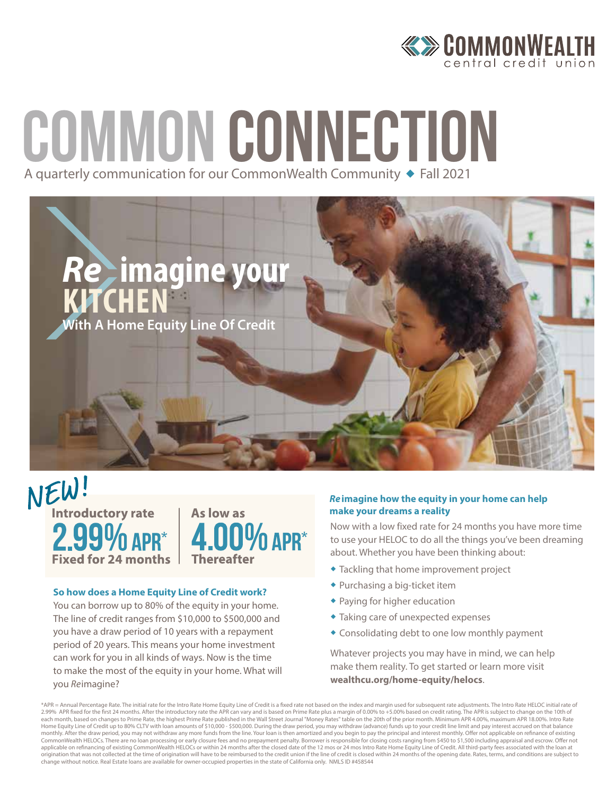

# COMMON CONNECTION A quarterly communication for our CommonWealth Community + Fall 2021



NEW! **Introductory rate**  $2.99\%$  APR\* **Fixed for 24 months** 



#### **So how does a Home Equity Line of Credit work?**

You can borrow up to 80% of the equity in your home. The line of credit ranges from \$10,000 to \$500,000 and you have a draw period of 10 years with a repayment period of 20 years. This means your home investment can work for you in all kinds of ways. Now is the time to make the most of the equity in your home. What will you *Re*imagine?

#### *Re* **imagine how the equity in your home can help make your dreams a reality**

Now with a low fixed rate for 24 months you have more time to use your HELOC to do all the things you've been dreaming about. Whether you have been thinking about:

- **\* Tackling that home improvement project**
- $\bullet$  Purchasing a big-ticket item
- $\bullet$  Paying for higher education
- $\bullet$  Taking care of unexpected expenses
- $\triangle$  Consolidating debt to one low monthly payment

Whatever projects you may have in mind, we can help make them reality. To get started or learn more visit **wealthcu.org/home-equity/helocs**.

\*APR = Annual Percentage Rate. The initial rate for the Intro Rate Home Equity Line of Credit is a fixed rate not based on the index and margin used for subsequent rate adjustments. The Intro Rate HELOC initial rate of 2.99% APR fixed for the first 24 months. After the introductory rate the APR can vary and is based on Prime Rate plus a margin of 0.00% to +5.00% based on credit rating. The APR is subject to change on the 10th of<br>each mon Home Equity Line of Credit up to 80% CLTV with loan amounts of \$10,000 - \$500,000. During the draw period, you may withdraw (advance) funds up to your credit line limit and pay interest accrued on that balance monthly. After the draw period, you may not withdraw any more funds from the line. Your loan is then amortized and you begin to pay the principal and interest monthly. Offer not applicable on refinance of existing<br>CommonWe applicable on refinancing of existing CommonWealth HELOCs or within 24 months after the closed date of the 12 mos or 24 mos Intro Rate Home Equity Line of Credit. All third-party fees associated with the loan at origination that was not collected at the time of origination will have to be reimbursed to the credit union if the line of credit is closed within 24 months of the opening date. Rates, terms, and conditions are subject to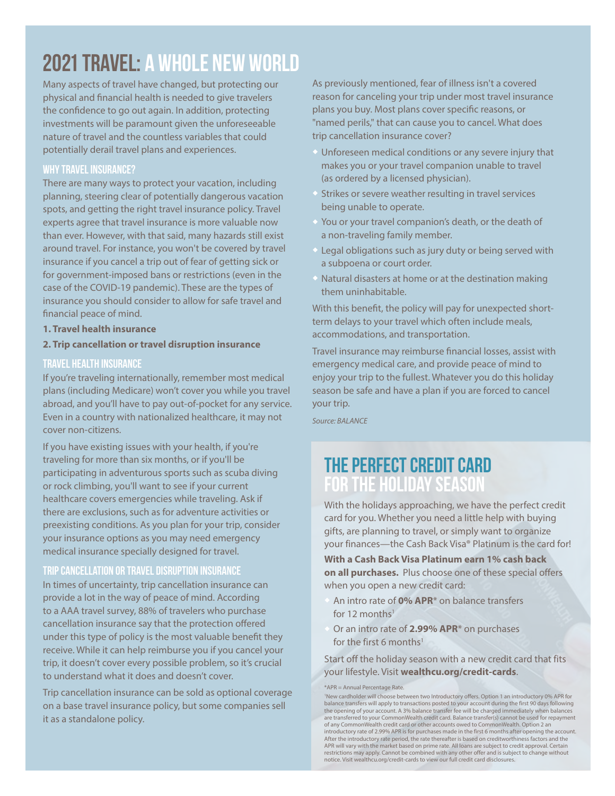# 2021 Travel: A whole new world

Many aspects of travel have changed, but protecting our physical and financial health is needed to give travelers the confidence to go out again. In addition, protecting investments will be paramount given the unforeseeable nature of travel and the countless variables that could potentially derail travel plans and experiences.

#### **Why travel insurance?**

There are many ways to protect your vacation, including planning, steering clear of potentially dangerous vacation spots, and getting the right travel insurance policy. Travel experts agree that travel insurance is more valuable now than ever. However, with that said, many hazards still exist around travel. For instance, you won't be covered by travel insurance if you cancel a trip out of fear of getting sick or for government-imposed bans or restrictions (even in the case of the COVID-19 pandemic). These are the types of insurance you should consider to allow for safe travel and financial peace of mind.

**1. Travel health insurance**

#### **2. Trip cancellation or travel disruption insurance**

#### **Travel health insurance**

If you're traveling internationally, remember most medical plans (including Medicare) won't cover you while you travel abroad, and you'll have to pay out-of-pocket for any service. Even in a country with nationalized healthcare, it may not cover non-citizens.

If you have existing issues with your health, if you're traveling for more than six months, or if you'll be participating in adventurous sports such as scuba diving or rock climbing, you'll want to see if your current healthcare covers emergencies while traveling. Ask if there are exclusions, such as for adventure activities or preexisting conditions. As you plan for your trip, consider your insurance options as you may need emergency medical insurance specially designed for travel.

#### **Trip cancellation or travel disruption insurance**

In times of uncertainty, trip cancellation insurance can provide a lot in the way of peace of mind. According to a AAA travel survey, 88% of travelers who purchase cancellation insurance say that the protection offered under this type of policy is the most valuable benefit they receive. While it can help reimburse you if you cancel your trip, it doesn't cover every possible problem, so it's crucial to understand what it does and doesn't cover.

Trip cancellation insurance can be sold as optional coverage on a base travel insurance policy, but some companies sell it as a standalone policy.

As previously mentioned, fear of illness isn't a covered reason for canceling your trip under most travel insurance plans you buy. Most plans cover specific reasons, or "named perils," that can cause you to cancel. What does trip cancellation insurance cover?

- $\bullet$  Unforeseen medical conditions or any severe injury that makes you or your travel companion unable to travel (as ordered by a licensed physician).
- Strikes or severe weather resulting in travel services being unable to operate.
- You or your travel companion's death, or the death of a non-traveling family member.
- $\triangle$  Legal obligations such as jury duty or being served with a subpoena or court order.
- Natural disasters at home or at the destination making them uninhabitable.

With this benefit, the policy will pay for unexpected shortterm delays to your travel which often include meals, accommodations, and transportation.

Travel insurance may reimburse financial losses, assist with emergency medical care, and provide peace of mind to enjoy your trip to the fullest. Whatever you do this holiday season be safe and have a plan if you are forced to cancel your trip.

*Source: BALANCE*

### the perfect credit card for the holiday season

With the holidays approaching, we have the perfect credit card for you. Whether you need a little help with buying gifts, are planning to travel, or simply want to organize your finances—the Cash Back Visa® Platinum is the card for!

**With a Cash Back Visa Platinum earn 1% cash back on all purchases.** Plus choose one of these special offers when you open a new credit card:

- An intro rate of 0% APR<sup>\*</sup> on balance transfers for 12 months<sup>1</sup>
- Or an intro rate of **2.99% APR**\* on purchases for the first 6 months<sup>1</sup>

Start off the holiday season with a new credit card that fits your lifestyle. Visit **wealthcu.org/credit-cards**.

\*APR = Annual Percentage Rate.

1 New cardholder will choose between two Introductory offers. Option 1 an introductory 0% APR for balance transfers will apply to transactions posted to your account during the first 90 days following the opening of your account. A 3% balance transfer fee will be charged immediately when balances are transferred to your CommonWealth credit card. Balance transfer(s) cannot be used for repayment of any CommonWealth credit card or other accounts owed to CommonWealth. Option 2 an introductory rate of 2.99% APR is for purchases made in the first 6 months after opening the account. After the introductory rate period, the rate thereafter is based on creditworthiness factors and the APR will vary with the market based on prime rate. All loans are subject to credit approval. Certain restrictions may apply. Cannot be combined with any other offer and is subject to change without notice. Visit wealthcu.org/credit-cards to view our full credit card disclosures.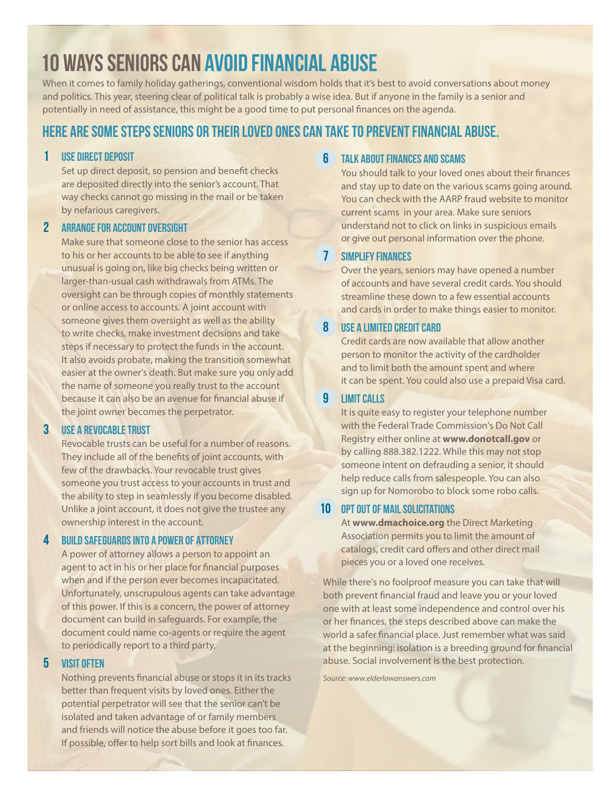# 10 Ways seniors can avoid financial abuse

When it comes to family holiday gatherings, conventional wisdom holds that it's best to avoid conversations about money and politics. This year, steering clear of political talk is probably a wise idea. But if anyone in the family is a senior and potentially in need of assistance, this might be a good time to put personal finances on the agenda.

### **Here are some steps seniors or their loved ones can take to prevent financial abuse.**

#### **1 USE DIRECT DEPOSIT**

Set up direct deposit, so pension and benefit checks are deposited directly into the senior's account. That way checks cannot go missing in the mail or be taken by nefarious caregivers.

#### 2 Arrange for Account Oversight

Make sure that someone close to the senior has access to his or her accounts to be able to see if anything unusual is going on, like big checks being written or larger-than-usual cash withdrawals from ATMs. The oversight can be through copies of monthly statements or online access to accounts. A joint account with someone gives them oversight as well as the ability to write checks, make investment decisions and take steps if necessary to protect the funds in the account. It also avoids probate, making the transition somewhat easier at the owner's death. But make sure you only add the name of someone you really trust to the account because it can also be an avenue for financial abuse if the joint owner becomes the perpetrator.

#### **3 Use a Revocable Trust**

Revocable trusts can be useful for a number of reasons. They include all of the benefits of joint accounts, with few of the drawbacks. Your revocable trust gives someone you trust access to your accounts in trust and the ability to step in seamlessly if you become disabled. Unlike a joint account, it does not give the trustee any ownership interest in the account.

#### **4 Build Safeguards into a Power Of Attorney**

A power of attorney allows a person to appoint an agent to act in his or her place for financial purposes when and if the person ever becomes incapacitated. Unfortunately, unscrupulous agents can take advantage of this power. If this is a concern, the power of attorney document can build in safeguards. For example, the document could name co-agents or require the agent to periodically report to a third party.

#### **5 Visit Often**

Nothing prevents financial abuse or stops it in its tracks better than frequent visits by loved ones. Either the potential perpetrator will see that the senior can't be isolated and taken advantage of or family members and friends will notice the abuse before it goes too far. If possible, offer to help sort bills and look at finances.

#### **6 Talk About Finances and Scams**

You should talk to your loved ones about their finances and stay up to date on the various scams going around. You can check with the AARP fraud website to monitor current scams in your area. Make sure seniors understand not to click on links in suspicious emails or give out personal information over the phone.

#### 7 Simplify Finances

Over the years, seniors may have opened a number of accounts and have several credit cards. You should streamline these down to a few essential accounts and cards in order to make things easier to monitor.

#### **8 Use a Limited Credit Card**

Credit cards are now available that allow another person to monitor the activity of the cardholder and to limit both the amount spent and where it can be spent. You could also use a prepaid Visa card.

#### **9 Limit Calls**

It is quite easy to register your telephone number with the Federal Trade Commission's Do Not Call Registry either online at **www.donotcall.gov** or by calling 888.382.1222. While this may not stop someone intent on defrauding a senior, it should help reduce calls from salespeople. You can also sign up for Nomorobo to block some robo calls.

#### **10 OPT OUT OF MAIL SOLICITATIONS**

At **www.dmachoice.org** the Direct Marketing Association permits you to limit the amount of catalogs, credit card offers and other direct mail pieces you or a loved one receives.

While there's no foolproof measure you can take that will both prevent financial fraud and leave you or your loved one with at least some independence and control over his or her finances, the steps described above can make the world a safer financial place. Just remember what was said at the beginning: isolation is a breeding ground for financial abuse. Social involvement is the best protection.

*Source: www.elderlawanswers.com*